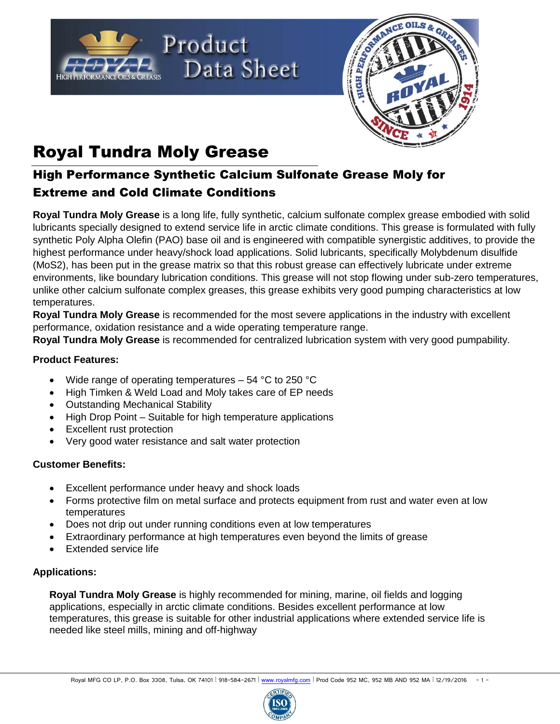



# Royal Tundra Moly Grease

## High Performance Synthetic Calcium Sulfonate Grease Moly for Extreme and Cold Climate Conditions

**Royal Tundra Moly Grease** is a long life, fully synthetic, calcium sulfonate complex grease embodied with solid lubricants specially designed to extend service life in arctic climate conditions. This grease is formulated with fully synthetic Poly Alpha Olefin (PAO) base oil and is engineered with compatible synergistic additives, to provide the highest performance under heavy/shock load applications. Solid lubricants, specifically Molybdenum disulfide (MoS2), has been put in the grease matrix so that this robust grease can effectively lubricate under extreme environments, like boundary lubrication conditions. This grease will not stop flowing under sub-zero temperatures, unlike other calcium sulfonate complex greases, this grease exhibits very good pumping characteristics at low temperatures.

**Royal Tundra Moly Grease** is recommended for the most severe applications in the industry with excellent performance, oxidation resistance and a wide operating temperature range.

**Royal Tundra Moly Grease** is recommended for centralized lubrication system with very good pumpability.

#### **Product Features:**

- Wide range of operating temperatures 54 °C to 250 °C
- High Timken & Weld Load and Moly takes care of EP needs
- Outstanding Mechanical Stability
- High Drop Point Suitable for high temperature applications
- Excellent rust protection
- Very good water resistance and salt water protection

### **Customer Benefits:**

- Excellent performance under heavy and shock loads
- Forms protective film on metal surface and protects equipment from rust and water even at low temperatures
- Does not drip out under running conditions even at low temperatures
- Extraordinary performance at high temperatures even beyond the limits of grease
- Extended service life

### **Applications:**

**Royal Tundra Moly Grease** is highly recommended for mining, marine, oil fields and logging applications, especially in arctic climate conditions. Besides excellent performance at low temperatures, this grease is suitable for other industrial applications where extended service life is needed like steel mills, mining and off-highway